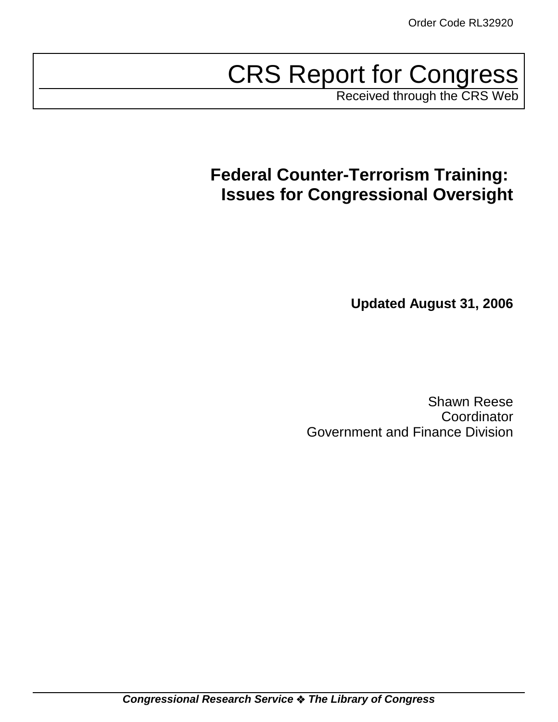# CRS Report for Congress

Received through the CRS Web

# **Federal Counter-Terrorism Training: Issues for Congressional Oversight**

**Updated August 31, 2006**

Shawn Reese Coordinator Government and Finance Division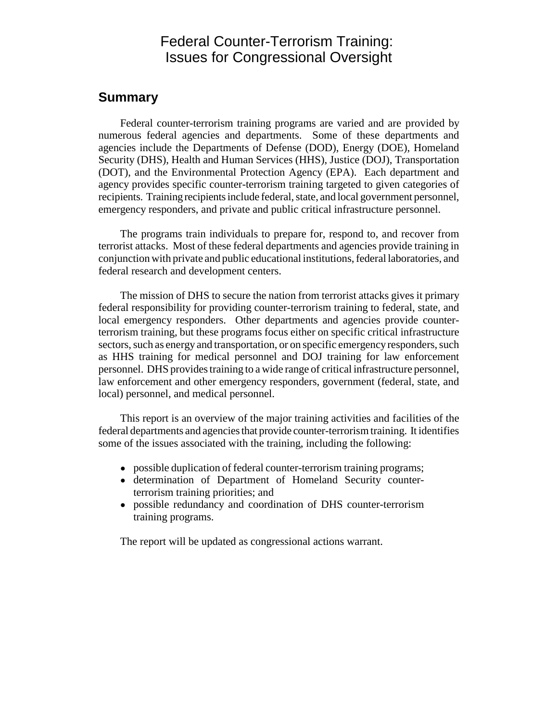### Federal Counter-Terrorism Training: Issues for Congressional Oversight

### **Summary**

Federal counter-terrorism training programs are varied and are provided by numerous federal agencies and departments. Some of these departments and agencies include the Departments of Defense (DOD), Energy (DOE), Homeland Security (DHS), Health and Human Services (HHS), Justice (DOJ), Transportation (DOT), and the Environmental Protection Agency (EPA). Each department and agency provides specific counter-terrorism training targeted to given categories of recipients. Training recipients include federal, state, and local government personnel, emergency responders, and private and public critical infrastructure personnel.

The programs train individuals to prepare for, respond to, and recover from terrorist attacks. Most of these federal departments and agencies provide training in conjunction with private and public educational institutions, federal laboratories, and federal research and development centers.

The mission of DHS to secure the nation from terrorist attacks gives it primary federal responsibility for providing counter-terrorism training to federal, state, and local emergency responders. Other departments and agencies provide counterterrorism training, but these programs focus either on specific critical infrastructure sectors, such as energy and transportation, or on specific emergency responders, such as HHS training for medical personnel and DOJ training for law enforcement personnel. DHS provides training to a wide range of critical infrastructure personnel, law enforcement and other emergency responders, government (federal, state, and local) personnel, and medical personnel.

This report is an overview of the major training activities and facilities of the federal departments and agencies that provide counter-terrorism training. It identifies some of the issues associated with the training, including the following:

- possible duplication of federal counter-terrorism training programs;
- ! determination of Department of Homeland Security counterterrorism training priorities; and
- possible redundancy and coordination of DHS counter-terrorism training programs.

The report will be updated as congressional actions warrant.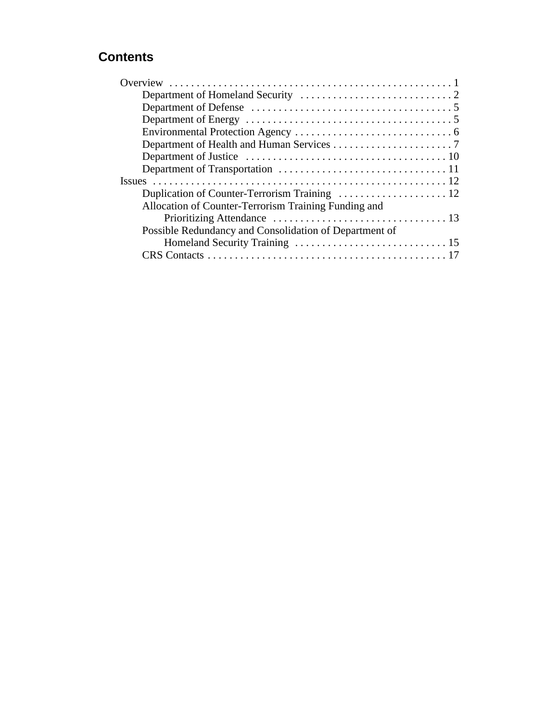## **Contents**

| Allocation of Counter-Terrorism Training Funding and   |
|--------------------------------------------------------|
|                                                        |
| Possible Redundancy and Consolidation of Department of |
|                                                        |
|                                                        |
|                                                        |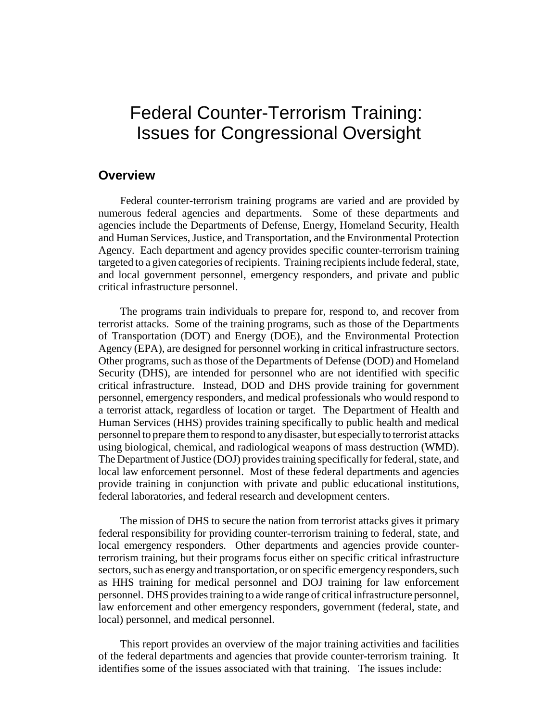# Federal Counter-Terrorism Training: Issues for Congressional Oversight

### **Overview**

Federal counter-terrorism training programs are varied and are provided by numerous federal agencies and departments. Some of these departments and agencies include the Departments of Defense, Energy, Homeland Security, Health and Human Services, Justice, and Transportation, and the Environmental Protection Agency. Each department and agency provides specific counter-terrorism training targeted to a given categories of recipients. Training recipients include federal, state, and local government personnel, emergency responders, and private and public critical infrastructure personnel.

The programs train individuals to prepare for, respond to, and recover from terrorist attacks. Some of the training programs, such as those of the Departments of Transportation (DOT) and Energy (DOE), and the Environmental Protection Agency (EPA), are designed for personnel working in critical infrastructure sectors. Other programs, such as those of the Departments of Defense (DOD) and Homeland Security (DHS), are intended for personnel who are not identified with specific critical infrastructure. Instead, DOD and DHS provide training for government personnel, emergency responders, and medical professionals who would respond to a terrorist attack, regardless of location or target. The Department of Health and Human Services (HHS) provides training specifically to public health and medical personnel to prepare them to respond to any disaster, but especially to terrorist attacks using biological, chemical, and radiological weapons of mass destruction (WMD). The Department of Justice (DOJ) provides training specifically for federal, state, and local law enforcement personnel. Most of these federal departments and agencies provide training in conjunction with private and public educational institutions, federal laboratories, and federal research and development centers.

The mission of DHS to secure the nation from terrorist attacks gives it primary federal responsibility for providing counter-terrorism training to federal, state, and local emergency responders. Other departments and agencies provide counterterrorism training, but their programs focus either on specific critical infrastructure sectors, such as energy and transportation, or on specific emergency responders, such as HHS training for medical personnel and DOJ training for law enforcement personnel. DHS provides training to a wide range of critical infrastructure personnel, law enforcement and other emergency responders, government (federal, state, and local) personnel, and medical personnel.

This report provides an overview of the major training activities and facilities of the federal departments and agencies that provide counter-terrorism training. It identifies some of the issues associated with that training. The issues include: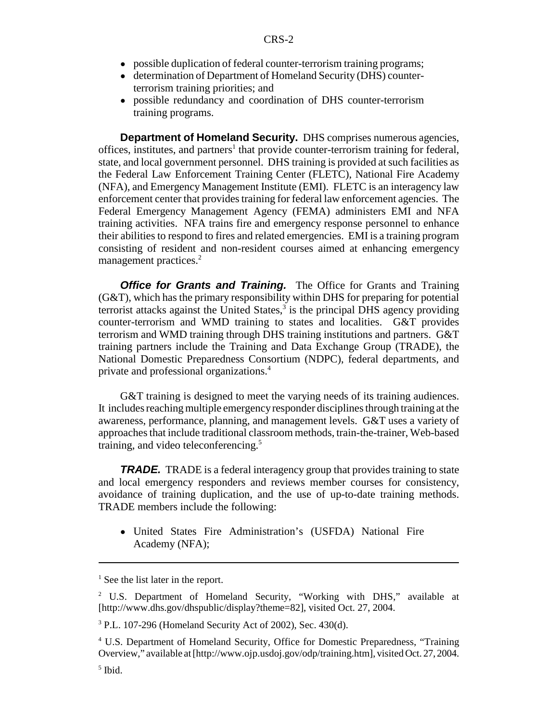- possible duplication of federal counter-terrorism training programs;
- determination of Department of Homeland Security (DHS) counterterrorism training priorities; and
- ! possible redundancy and coordination of DHS counter-terrorism training programs.

**Department of Homeland Security.** DHS comprises numerous agencies, offices, institutes, and partners<sup>1</sup> that provide counter-terrorism training for federal, state, and local government personnel. DHS training is provided at such facilities as the Federal Law Enforcement Training Center (FLETC), National Fire Academy (NFA), and Emergency Management Institute (EMI). FLETC is an interagency law enforcement center that provides training for federal law enforcement agencies. The Federal Emergency Management Agency (FEMA) administers EMI and NFA training activities. NFA trains fire and emergency response personnel to enhance their abilities to respond to fires and related emergencies. EMI is a training program consisting of resident and non-resident courses aimed at enhancing emergency management practices.<sup>2</sup>

**Office for Grants and Training.** The Office for Grants and Training (G&T), which has the primary responsibility within DHS for preparing for potential terrorist attacks against the United States, $3$  is the principal DHS agency providing counter-terrorism and WMD training to states and localities. G&T provides terrorism and WMD training through DHS training institutions and partners. G&T training partners include the Training and Data Exchange Group (TRADE), the National Domestic Preparedness Consortium (NDPC), federal departments, and private and professional organizations.4

G&T training is designed to meet the varying needs of its training audiences. It includes reaching multiple emergency responder disciplines through training at the awareness, performance, planning, and management levels. G&T uses a variety of approaches that include traditional classroom methods, train-the-trainer, Web-based training, and video teleconferencing.<sup>5</sup>

**TRADE.** TRADE is a federal interagency group that provides training to state and local emergency responders and reviews member courses for consistency, avoidance of training duplication, and the use of up-to-date training methods. TRADE members include the following:

! United States Fire Administration's (USFDA) National Fire Academy (NFA);

<sup>&</sup>lt;sup>1</sup> See the list later in the report.

<sup>&</sup>lt;sup>2</sup> U.S. Department of Homeland Security, "Working with DHS," available at [http://www.dhs.gov/dhspublic/display?theme=82], visited Oct. 27, 2004.

<sup>3</sup> P.L. 107-296 (Homeland Security Act of 2002), Sec. 430(d).

<sup>&</sup>lt;sup>4</sup> U.S. Department of Homeland Security, Office for Domestic Preparedness, "Training Overview," available at [http://www.ojp.usdoj.gov/odp/training.htm], visited Oct. 27, 2004.

<sup>5</sup> Ibid.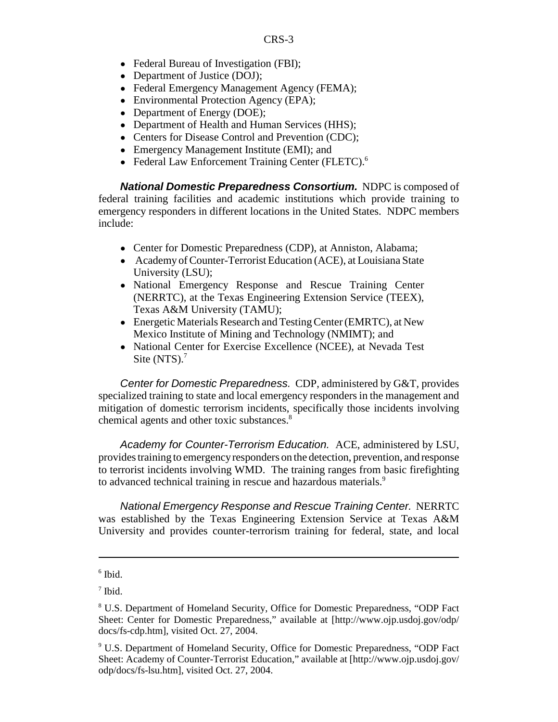- Federal Bureau of Investigation (FBI);
- Department of Justice (DOJ);
- Federal Emergency Management Agency (FEMA);
- Environmental Protection Agency (EPA);
- Department of Energy (DOE);
- Department of Health and Human Services (HHS);
- Centers for Disease Control and Prevention (CDC);
- Emergency Management Institute (EMI); and
- Federal Law Enforcement Training Center (FLETC).<sup>6</sup>

*National Domestic Preparedness Consortium.* NDPC is composed of federal training facilities and academic institutions which provide training to emergency responders in different locations in the United States. NDPC members include:

- Center for Domestic Preparedness (CDP), at Anniston, Alabama;
- ! Academy of Counter-Terrorist Education (ACE), at Louisiana State University (LSU);
- ! National Emergency Response and Rescue Training Center (NERRTC), at the Texas Engineering Extension Service (TEEX), Texas A&M University (TAMU);
- ! Energetic Materials Research and Testing Center (EMRTC), at New Mexico Institute of Mining and Technology (NMIMT); and
- ! National Center for Exercise Excellence (NCEE), at Nevada Test Site  $(NTS)^7$ .

*Center for Domestic Preparedness.* CDP, administered by G&T, provides specialized training to state and local emergency responders in the management and mitigation of domestic terrorism incidents, specifically those incidents involving chemical agents and other toxic substances.<sup>8</sup>

*Academy for Counter-Terrorism Education.* ACE, administered by LSU, provides training to emergency responders on the detection, prevention, and response to terrorist incidents involving WMD. The training ranges from basic firefighting to advanced technical training in rescue and hazardous materials.<sup>9</sup>

*National Emergency Response and Rescue Training Center.* NERRTC was established by the Texas Engineering Extension Service at Texas A&M University and provides counter-terrorism training for federal, state, and local

<sup>6</sup> Ibid.

 $<sup>7</sup>$  Ibid.</sup>

<sup>&</sup>lt;sup>8</sup> U.S. Department of Homeland Security, Office for Domestic Preparedness, "ODP Fact Sheet: Center for Domestic Preparedness," available at [http://www.ojp.usdoj.gov/odp/ docs/fs-cdp.htm], visited Oct. 27, 2004.

<sup>&</sup>lt;sup>9</sup> U.S. Department of Homeland Security, Office for Domestic Preparedness, "ODP Fact Sheet: Academy of Counter-Terrorist Education," available at [http://www.ojp.usdoj.gov/ odp/docs/fs-lsu.htm], visited Oct. 27, 2004.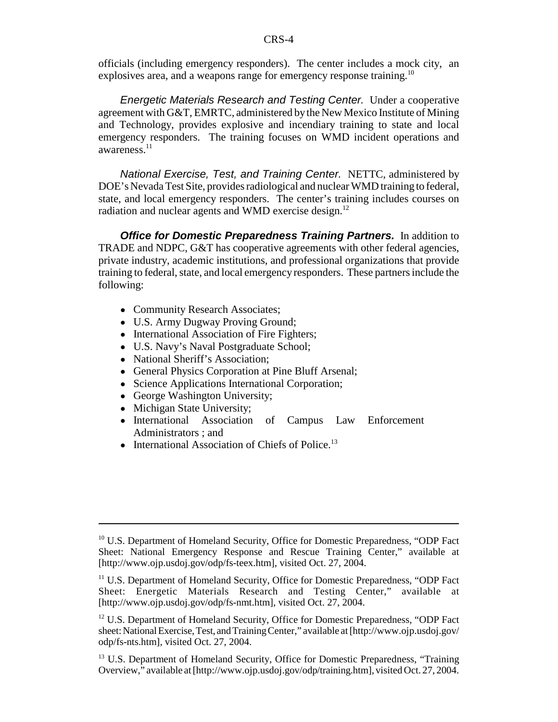officials (including emergency responders). The center includes a mock city, an explosives area, and a weapons range for emergency response training.<sup>10</sup>

*Energetic Materials Research and Testing Center.* Under a cooperative agreement with G&T, EMRTC, administered by the New Mexico Institute of Mining and Technology, provides explosive and incendiary training to state and local emergency responders. The training focuses on WMD incident operations and awareness.<sup>11</sup>

*National Exercise, Test, and Training Center.* NETTC, administered by DOE's Nevada Test Site, provides radiological and nuclear WMD training to federal, state, and local emergency responders. The center's training includes courses on radiation and nuclear agents and WMD exercise design.<sup>12</sup>

**Office for Domestic Preparedness Training Partners.** In addition to TRADE and NDPC, G&T has cooperative agreements with other federal agencies, private industry, academic institutions, and professional organizations that provide training to federal, state, and local emergency responders. These partners include the following:

- Community Research Associates;
- U.S. Army Dugway Proving Ground;
- International Association of Fire Fighters;
- U.S. Navy's Naval Postgraduate School;
- National Sheriff's Association;
- ! General Physics Corporation at Pine Bluff Arsenal;
- Science Applications International Corporation;
- George Washington University;
- Michigan State University;
- ! International Association of Campus Law Enforcement Administrators ; and
- $\bullet$  International Association of Chiefs of Police.<sup>13</sup>

<sup>&</sup>lt;sup>10</sup> U.S. Department of Homeland Security, Office for Domestic Preparedness, "ODP Fact Sheet: National Emergency Response and Rescue Training Center," available at [http://www.ojp.usdoj.gov/odp/fs-teex.htm], visited Oct. 27, 2004.

<sup>11</sup> U.S. Department of Homeland Security, Office for Domestic Preparedness, "ODP Fact Sheet: Energetic Materials Research and Testing Center," available at [http://www.ojp.usdoj.gov/odp/fs-nmt.htm], visited Oct. 27, 2004.

<sup>&</sup>lt;sup>12</sup> U.S. Department of Homeland Security, Office for Domestic Preparedness, "ODP Fact sheet: National Exercise, Test, and Training Center," available at [http://www.ojp.usdoj.gov/ odp/fs-nts.htm], visited Oct. 27, 2004.

<sup>&</sup>lt;sup>13</sup> U.S. Department of Homeland Security, Office for Domestic Preparedness, "Training Overview," available at [http://www.ojp.usdoj.gov/odp/training.htm], visited Oct. 27, 2004.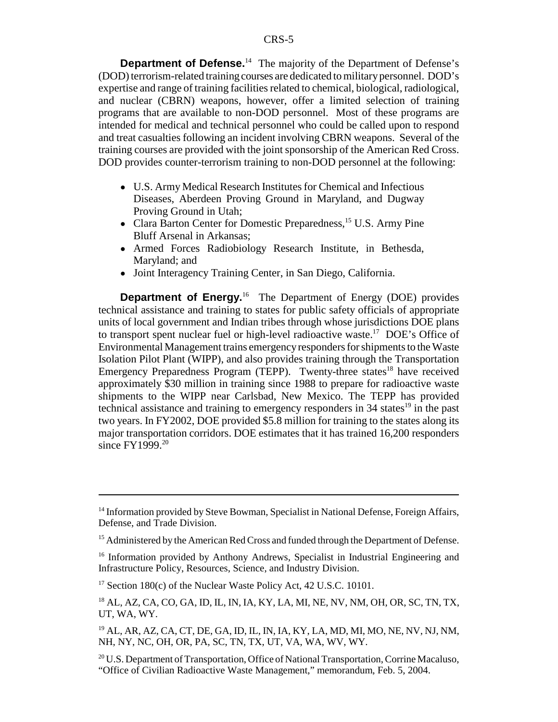**Department of Defense.**<sup>14</sup> The majority of the Department of Defense's (DOD) terrorism-related training courses are dedicated to military personnel. DOD's expertise and range of training facilities related to chemical, biological, radiological, and nuclear (CBRN) weapons, however, offer a limited selection of training programs that are available to non-DOD personnel. Most of these programs are intended for medical and technical personnel who could be called upon to respond and treat casualties following an incident involving CBRN weapons. Several of the training courses are provided with the joint sponsorship of the American Red Cross. DOD provides counter-terrorism training to non-DOD personnel at the following:

- ! U.S. Army Medical Research Institutes for Chemical and Infectious Diseases, Aberdeen Proving Ground in Maryland, and Dugway Proving Ground in Utah;
- Clara Barton Center for Domestic Preparedness,<sup>15</sup> U.S. Army Pine Bluff Arsenal in Arkansas;
- ! Armed Forces Radiobiology Research Institute, in Bethesda, Maryland; and
- ! Joint Interagency Training Center, in San Diego, California.

**Department of Energy.**<sup>16</sup> The Department of Energy (DOE) provides technical assistance and training to states for public safety officials of appropriate units of local government and Indian tribes through whose jurisdictions DOE plans to transport spent nuclear fuel or high-level radioactive waste.17 DOE's Office of Environmental Management trains emergency responders for shipments to the Waste Isolation Pilot Plant (WIPP), and also provides training through the Transportation Emergency Preparedness Program (TEPP). Twenty-three states<sup>18</sup> have received approximately \$30 million in training since 1988 to prepare for radioactive waste shipments to the WIPP near Carlsbad, New Mexico. The TEPP has provided technical assistance and training to emergency responders in  $34$  states<sup>19</sup> in the past two years. In FY2002, DOE provided \$5.8 million for training to the states along its major transportation corridors. DOE estimates that it has trained 16,200 responders since FY1999.<sup>20</sup>

<sup>&</sup>lt;sup>14</sup> Information provided by Steve Bowman, Specialist in National Defense, Foreign Affairs, Defense, and Trade Division.

<sup>&</sup>lt;sup>15</sup> Administered by the American Red Cross and funded through the Department of Defense.

<sup>&</sup>lt;sup>16</sup> Information provided by Anthony Andrews, Specialist in Industrial Engineering and Infrastructure Policy, Resources, Science, and Industry Division.

<sup>&</sup>lt;sup>17</sup> Section 180 $(c)$  of the Nuclear Waste Policy Act, 42 U.S.C. 10101.

<sup>18</sup> AL, AZ, CA, CO, GA, ID, IL, IN, IA, KY, LA, MI, NE, NV, NM, OH, OR, SC, TN, TX, UT, WA, WY.

<sup>19</sup> AL, AR, AZ, CA, CT, DE, GA, ID, IL, IN, IA, KY, LA, MD, MI, MO, NE, NV, NJ, NM, NH, NY, NC, OH, OR, PA, SC, TN, TX, UT, VA, WA, WV, WY.

<sup>&</sup>lt;sup>20</sup> U.S. Department of Transportation, Office of National Transportation, Corrine Macaluso, "Office of Civilian Radioactive Waste Management," memorandum, Feb. 5, 2004.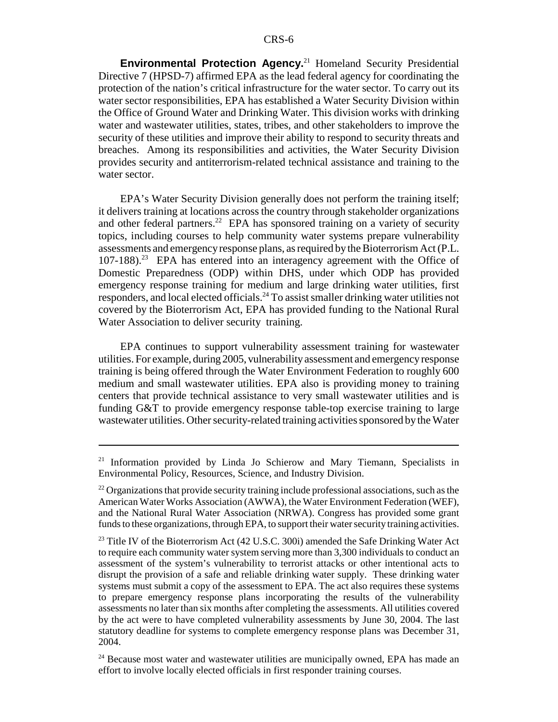**Environmental Protection Agency.**21 Homeland Security Presidential Directive 7 (HPSD-7) affirmed EPA as the lead federal agency for coordinating the protection of the nation's critical infrastructure for the water sector. To carry out its water sector responsibilities, EPA has established a Water Security Division within the Office of Ground Water and Drinking Water. This division works with drinking water and wastewater utilities, states, tribes, and other stakeholders to improve the security of these utilities and improve their ability to respond to security threats and breaches. Among its responsibilities and activities, the Water Security Division provides security and antiterrorism-related technical assistance and training to the water sector.

EPA's Water Security Division generally does not perform the training itself; it delivers training at locations across the country through stakeholder organizations and other federal partners.<sup>22</sup> EPA has sponsored training on a variety of security topics, including courses to help community water systems prepare vulnerability assessments and emergency response plans, as required by the Bioterrorism Act (P.L.  $107-188$ ).<sup>23</sup> EPA has entered into an interagency agreement with the Office of Domestic Preparedness (ODP) within DHS, under which ODP has provided emergency response training for medium and large drinking water utilities, first responders, and local elected officials.<sup>24</sup> To assist smaller drinking water utilities not covered by the Bioterrorism Act, EPA has provided funding to the National Rural Water Association to deliver security training.

EPA continues to support vulnerability assessment training for wastewater utilities. For example, during 2005, vulnerability assessment and emergency response training is being offered through the Water Environment Federation to roughly 600 medium and small wastewater utilities. EPA also is providing money to training centers that provide technical assistance to very small wastewater utilities and is funding G&T to provide emergency response table-top exercise training to large wastewater utilities. Other security-related training activities sponsored by the Water

<sup>&</sup>lt;sup>21</sup> Information provided by Linda Jo Schierow and Mary Tiemann, Specialists in Environmental Policy, Resources, Science, and Industry Division.

 $22$  Organizations that provide security training include professional associations, such as the American Water Works Association (AWWA), the Water Environment Federation (WEF), and the National Rural Water Association (NRWA). Congress has provided some grant funds to these organizations, through EPA, to support their water security training activities.

<sup>&</sup>lt;sup>23</sup> Title IV of the Bioterrorism Act  $(42 \text{ U.S.C. } 300i)$  amended the Safe Drinking Water Act to require each community water system serving more than 3,300 individuals to conduct an assessment of the system's vulnerability to terrorist attacks or other intentional acts to disrupt the provision of a safe and reliable drinking water supply. These drinking water systems must submit a copy of the assessment to EPA. The act also requires these systems to prepare emergency response plans incorporating the results of the vulnerability assessments no later than six months after completing the assessments. All utilities covered by the act were to have completed vulnerability assessments by June 30, 2004. The last statutory deadline for systems to complete emergency response plans was December 31, 2004.

<sup>&</sup>lt;sup>24</sup> Because most water and wastewater utilities are municipally owned, EPA has made an effort to involve locally elected officials in first responder training courses.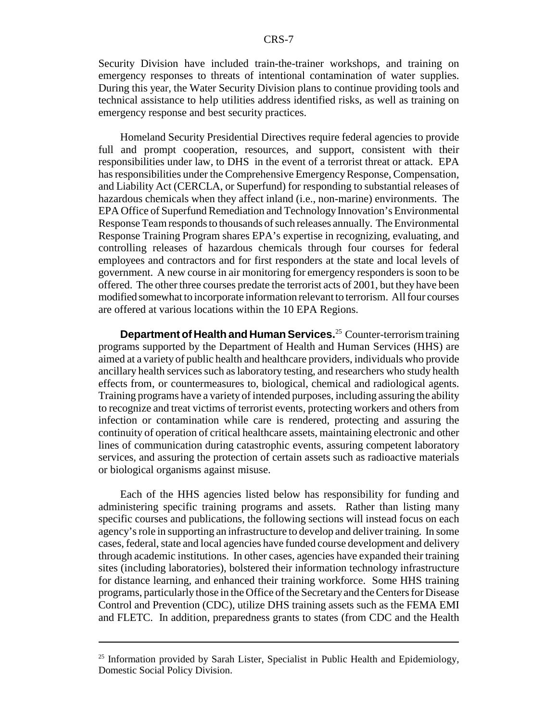Security Division have included train-the-trainer workshops, and training on emergency responses to threats of intentional contamination of water supplies. During this year, the Water Security Division plans to continue providing tools and technical assistance to help utilities address identified risks, as well as training on emergency response and best security practices.

Homeland Security Presidential Directives require federal agencies to provide full and prompt cooperation, resources, and support, consistent with their responsibilities under law, to DHS in the event of a terrorist threat or attack. EPA has responsibilities under the Comprehensive Emergency Response, Compensation, and Liability Act (CERCLA, or Superfund) for responding to substantial releases of hazardous chemicals when they affect inland (i.e., non-marine) environments. The EPA Office of Superfund Remediation and Technology Innovation's Environmental Response Team responds to thousands of such releases annually. The Environmental Response Training Program shares EPA's expertise in recognizing, evaluating, and controlling releases of hazardous chemicals through four courses for federal employees and contractors and for first responders at the state and local levels of government. A new course in air monitoring for emergency responders is soon to be offered. The other three courses predate the terrorist acts of 2001, but they have been modified somewhat to incorporate information relevant to terrorism. All four courses are offered at various locations within the 10 EPA Regions.

**Department of Health and Human Services.**25 Counter-terrorism training programs supported by the Department of Health and Human Services (HHS) are aimed at a variety of public health and healthcare providers, individuals who provide ancillary health services such as laboratory testing, and researchers who study health effects from, or countermeasures to, biological, chemical and radiological agents. Training programs have a variety of intended purposes, including assuring the ability to recognize and treat victims of terrorist events, protecting workers and others from infection or contamination while care is rendered, protecting and assuring the continuity of operation of critical healthcare assets, maintaining electronic and other lines of communication during catastrophic events, assuring competent laboratory services, and assuring the protection of certain assets such as radioactive materials or biological organisms against misuse.

Each of the HHS agencies listed below has responsibility for funding and administering specific training programs and assets. Rather than listing many specific courses and publications, the following sections will instead focus on each agency's role in supporting an infrastructure to develop and deliver training. In some cases, federal, state and local agencies have funded course development and delivery through academic institutions. In other cases, agencies have expanded their training sites (including laboratories), bolstered their information technology infrastructure for distance learning, and enhanced their training workforce. Some HHS training programs, particularly those in the Office of the Secretary and the Centers for Disease Control and Prevention (CDC), utilize DHS training assets such as the FEMA EMI and FLETC. In addition, preparedness grants to states (from CDC and the Health

 $25$  Information provided by Sarah Lister, Specialist in Public Health and Epidemiology, Domestic Social Policy Division.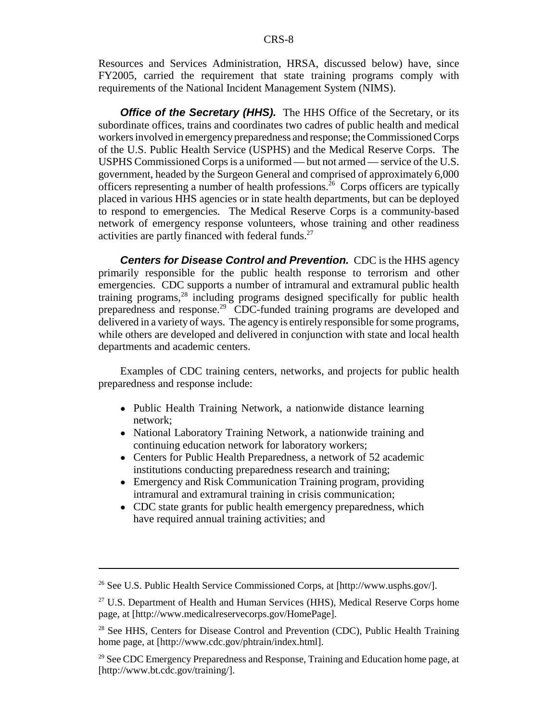Resources and Services Administration, HRSA, discussed below) have, since FY2005, carried the requirement that state training programs comply with requirements of the National Incident Management System (NIMS).

**Office of the Secretary (HHS).** The HHS Office of the Secretary, or its subordinate offices, trains and coordinates two cadres of public health and medical workers involved in emergency preparedness and response; the Commissioned Corps of the U.S. Public Health Service (USPHS) and the Medical Reserve Corps. The USPHS Commissioned Corps is a uniformed — but not armed — service of the U.S. government, headed by the Surgeon General and comprised of approximately 6,000 officers representing a number of health professions.26 Corps officers are typically placed in various HHS agencies or in state health departments, but can be deployed to respond to emergencies. The Medical Reserve Corps is a community-based network of emergency response volunteers, whose training and other readiness activities are partly financed with federal funds.<sup>27</sup>

**Centers for Disease Control and Prevention.** CDC is the HHS agency primarily responsible for the public health response to terrorism and other emergencies. CDC supports a number of intramural and extramural public health training programs,28 including programs designed specifically for public health preparedness and response.<sup>29</sup> CDC-funded training programs are developed and delivered in a variety of ways. The agency is entirely responsible for some programs, while others are developed and delivered in conjunction with state and local health departments and academic centers.

Examples of CDC training centers, networks, and projects for public health preparedness and response include:

- Public Health Training Network, a nationwide distance learning network;
- National Laboratory Training Network, a nationwide training and continuing education network for laboratory workers;
- Centers for Public Health Preparedness, a network of 52 academic institutions conducting preparedness research and training;
- Emergency and Risk Communication Training program, providing intramural and extramural training in crisis communication;
- CDC state grants for public health emergency preparedness, which have required annual training activities; and

<sup>26</sup> See U.S. Public Health Service Commissioned Corps, at [http://www.usphs.gov/].

<sup>&</sup>lt;sup>27</sup> U.S. Department of Health and Human Services (HHS), Medical Reserve Corps home page, at [http://www.medicalreservecorps.gov/HomePage].

<sup>&</sup>lt;sup>28</sup> See HHS, Centers for Disease Control and Prevention (CDC), Public Health Training home page, at [http://www.cdc.gov/phtrain/index.html].

<sup>&</sup>lt;sup>29</sup> See CDC Emergency Preparedness and Response, Training and Education home page, at [http://www.bt.cdc.gov/training/].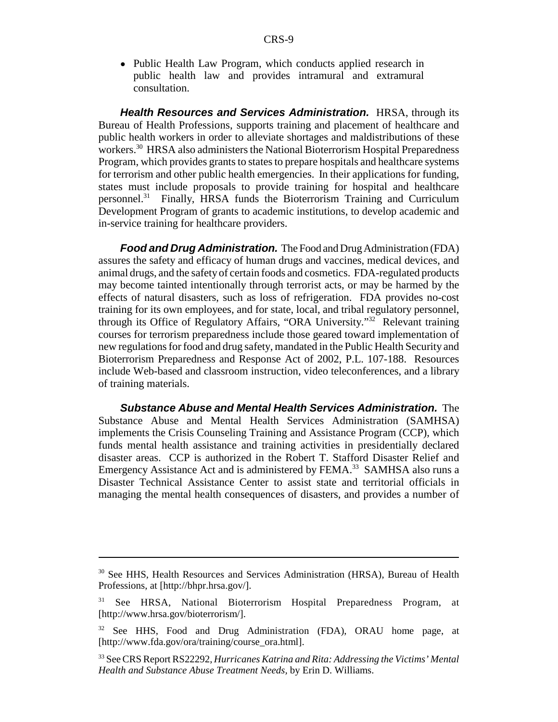• Public Health Law Program, which conducts applied research in public health law and provides intramural and extramural consultation.

*Health Resources and Services Administration.* HRSA, through its Bureau of Health Professions, supports training and placement of healthcare and public health workers in order to alleviate shortages and maldistributions of these workers.<sup>30</sup> HRSA also administers the National Bioterrorism Hospital Preparedness Program, which provides grants to states to prepare hospitals and healthcare systems for terrorism and other public health emergencies. In their applications for funding, states must include proposals to provide training for hospital and healthcare personnel.31 Finally, HRSA funds the Bioterrorism Training and Curriculum Development Program of grants to academic institutions, to develop academic and in-service training for healthcare providers.

*Food and Drug Administration.* The Food and Drug Administration (FDA) assures the safety and efficacy of human drugs and vaccines, medical devices, and animal drugs, and the safety of certain foods and cosmetics. FDA-regulated products may become tainted intentionally through terrorist acts, or may be harmed by the effects of natural disasters, such as loss of refrigeration. FDA provides no-cost training for its own employees, and for state, local, and tribal regulatory personnel, through its Office of Regulatory Affairs, "ORA University."<sup>32</sup> Relevant training courses for terrorism preparedness include those geared toward implementation of new regulations for food and drug safety, mandated in the Public Health Security and Bioterrorism Preparedness and Response Act of 2002, P.L. 107-188. Resources include Web-based and classroom instruction, video teleconferences, and a library of training materials.

*Substance Abuse and Mental Health Services Administration.* The Substance Abuse and Mental Health Services Administration (SAMHSA) implements the Crisis Counseling Training and Assistance Program (CCP), which funds mental health assistance and training activities in presidentially declared disaster areas. CCP is authorized in the Robert T. Stafford Disaster Relief and Emergency Assistance Act and is administered by FEMA.<sup>33</sup> SAMHSA also runs a Disaster Technical Assistance Center to assist state and territorial officials in managing the mental health consequences of disasters, and provides a number of

<sup>&</sup>lt;sup>30</sup> See HHS, Health Resources and Services Administration (HRSA), Bureau of Health Professions, at [http://bhpr.hrsa.gov/].

<sup>&</sup>lt;sup>31</sup> See HRSA, National Bioterrorism Hospital Preparedness Program, at [http://www.hrsa.gov/bioterrorism/].

<sup>&</sup>lt;sup>32</sup> See HHS, Food and Drug Administration (FDA), ORAU home page, at [http://www.fda.gov/ora/training/course\_ora.html].

<sup>33</sup> See CRS Report RS22292, *Hurricanes Katrina and Rita: Addressing the Victims' Mental Health and Substance Abuse Treatment Needs,* by Erin D. Williams.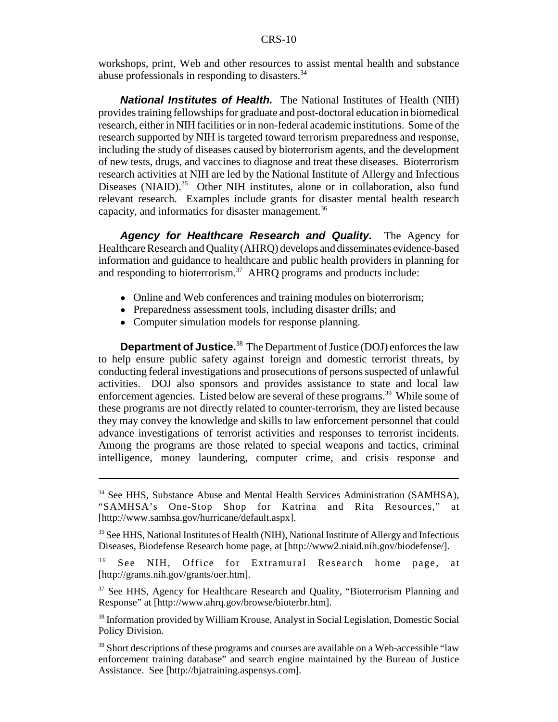workshops, print, Web and other resources to assist mental health and substance abuse professionals in responding to disasters.<sup>34</sup>

*National Institutes of Health.* The National Institutes of Health (NIH) provides training fellowships for graduate and post-doctoral education in biomedical research, either in NIH facilities or in non-federal academic institutions. Some of the research supported by NIH is targeted toward terrorism preparedness and response, including the study of diseases caused by bioterrorism agents, and the development of new tests, drugs, and vaccines to diagnose and treat these diseases. Bioterrorism research activities at NIH are led by the National Institute of Allergy and Infectious Diseases (NIAID). $35$  Other NIH institutes, alone or in collaboration, also fund relevant research. Examples include grants for disaster mental health research capacity, and informatics for disaster management.<sup>36</sup>

*Agency for Healthcare Research and Quality.* The Agency for Healthcare Research and Quality (AHRQ) develops and disseminates evidence-based information and guidance to healthcare and public health providers in planning for and responding to bioterrorism.<sup>37</sup> AHRQ programs and products include:

- Online and Web conferences and training modules on bioterrorism;
- Preparedness assessment tools, including disaster drills; and
- Computer simulation models for response planning.

**Department of Justice.**<sup>38</sup> The Department of Justice (DOJ) enforces the law to help ensure public safety against foreign and domestic terrorist threats, by conducting federal investigations and prosecutions of persons suspected of unlawful activities. DOJ also sponsors and provides assistance to state and local law enforcement agencies. Listed below are several of these programs.<sup>39</sup> While some of these programs are not directly related to counter-terrorism, they are listed because they may convey the knowledge and skills to law enforcement personnel that could advance investigations of terrorist activities and responses to terrorist incidents. Among the programs are those related to special weapons and tactics, criminal intelligence, money laundering, computer crime, and crisis response and

<sup>&</sup>lt;sup>34</sup> See HHS, Substance Abuse and Mental Health Services Administration (SAMHSA), "SAMHSA's One-Stop Shop for Katrina and Rita Resources," at [http://www.samhsa.gov/hurricane/default.aspx].

<sup>&</sup>lt;sup>35</sup> See HHS, National Institutes of Health (NIH), National Institute of Allergy and Infectious Diseases, Biodefense Research home page, at [http://www2.niaid.nih.gov/biodefense/].

<sup>&</sup>lt;sup>36</sup> See NIH, Office for Extramural Research home page, at [http://grants.nih.gov/grants/oer.htm].

<sup>&</sup>lt;sup>37</sup> See HHS, Agency for Healthcare Research and Quality, "Bioterrorism Planning and Response" at [http://www.ahrq.gov/browse/bioterbr.htm].

<sup>38</sup> Information provided by William Krouse, Analyst in Social Legislation, Domestic Social Policy Division.

<sup>&</sup>lt;sup>39</sup> Short descriptions of these programs and courses are available on a Web-accessible "law enforcement training database" and search engine maintained by the Bureau of Justice Assistance. See [http://bjatraining.aspensys.com].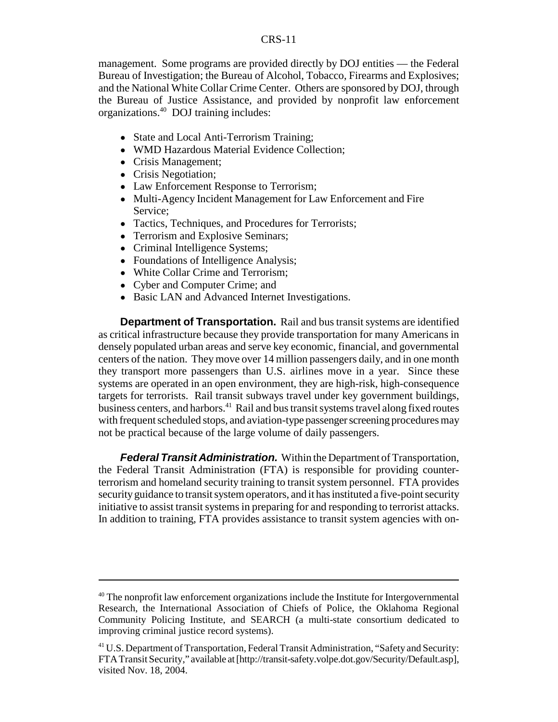#### CRS-11

management. Some programs are provided directly by DOJ entities — the Federal Bureau of Investigation; the Bureau of Alcohol, Tobacco, Firearms and Explosives; and the National White Collar Crime Center. Others are sponsored by DOJ, through the Bureau of Justice Assistance, and provided by nonprofit law enforcement organizations.40 DOJ training includes:

- State and Local Anti-Terrorism Training;
- WMD Hazardous Material Evidence Collection;
- Crisis Management;
- Crisis Negotiation;
- Law Enforcement Response to Terrorism;
- Multi-Agency Incident Management for Law Enforcement and Fire Service;
- Tactics, Techniques, and Procedures for Terrorists;
- Terrorism and Explosive Seminars;
- Criminal Intelligence Systems;
- Foundations of Intelligence Analysis;
- White Collar Crime and Terrorism;
- Cyber and Computer Crime; and
- Basic LAN and Advanced Internet Investigations.

**Department of Transportation.** Rail and bus transit systems are identified as critical infrastructure because they provide transportation for many Americans in densely populated urban areas and serve key economic, financial, and governmental centers of the nation. They move over 14 million passengers daily, and in one month they transport more passengers than U.S. airlines move in a year. Since these systems are operated in an open environment, they are high-risk, high-consequence targets for terrorists. Rail transit subways travel under key government buildings, business centers, and harbors.<sup>41</sup> Rail and bus transit systems travel along fixed routes with frequent scheduled stops, and aviation-type passenger screening procedures may not be practical because of the large volume of daily passengers.

*Federal Transit Administration.* Within the Department of Transportation, the Federal Transit Administration (FTA) is responsible for providing counterterrorism and homeland security training to transit system personnel. FTA provides security guidance to transit system operators, and it has instituted a five-point security initiative to assist transit systems in preparing for and responding to terrorist attacks. In addition to training, FTA provides assistance to transit system agencies with on-

<sup>&</sup>lt;sup>40</sup> The nonprofit law enforcement organizations include the Institute for Intergovernmental Research, the International Association of Chiefs of Police, the Oklahoma Regional Community Policing Institute, and SEARCH (a multi-state consortium dedicated to improving criminal justice record systems).

<sup>&</sup>lt;sup>41</sup> U.S. Department of Transportation, Federal Transit Administration, "Safety and Security: FTA Transit Security," available at [http://transit-safety.volpe.dot.gov/Security/Default.asp], visited Nov. 18, 2004.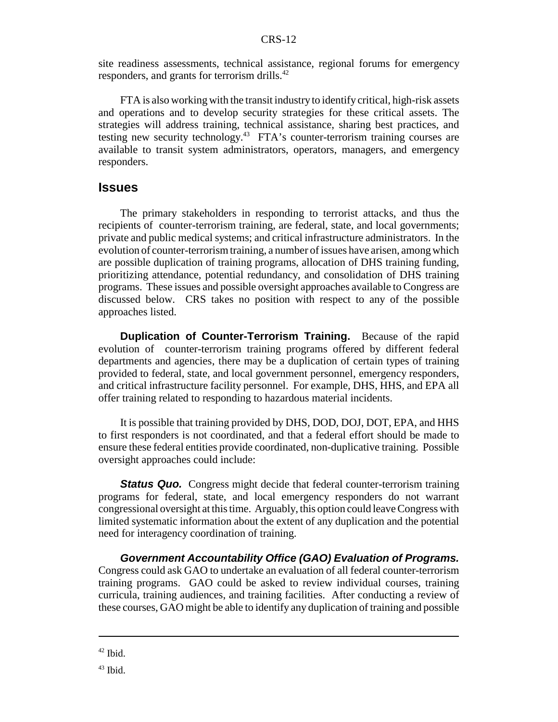site readiness assessments, technical assistance, regional forums for emergency responders, and grants for terrorism drills.<sup>42</sup>

FTA is also working with the transit industry to identify critical, high-risk assets and operations and to develop security strategies for these critical assets. The strategies will address training, technical assistance, sharing best practices, and testing new security technology.43 FTA's counter-terrorism training courses are available to transit system administrators, operators, managers, and emergency responders.

### **Issues**

The primary stakeholders in responding to terrorist attacks, and thus the recipients of counter-terrorism training, are federal, state, and local governments; private and public medical systems; and critical infrastructure administrators. In the evolution of counter-terrorism training, a number of issues have arisen, among which are possible duplication of training programs, allocation of DHS training funding, prioritizing attendance, potential redundancy, and consolidation of DHS training programs. These issues and possible oversight approaches available to Congress are discussed below. CRS takes no position with respect to any of the possible approaches listed.

**Duplication of Counter-Terrorism Training.** Because of the rapid evolution of counter-terrorism training programs offered by different federal departments and agencies, there may be a duplication of certain types of training provided to federal, state, and local government personnel, emergency responders, and critical infrastructure facility personnel. For example, DHS, HHS, and EPA all offer training related to responding to hazardous material incidents.

It is possible that training provided by DHS, DOD, DOJ, DOT, EPA, and HHS to first responders is not coordinated, and that a federal effort should be made to ensure these federal entities provide coordinated, non-duplicative training. Possible oversight approaches could include:

*Status Quo.* Congress might decide that federal counter-terrorism training programs for federal, state, and local emergency responders do not warrant congressional oversight at this time. Arguably, this option could leave Congress with limited systematic information about the extent of any duplication and the potential need for interagency coordination of training.

*Government Accountability Office (GAO) Evaluation of Programs.* Congress could ask GAO to undertake an evaluation of all federal counter-terrorism training programs. GAO could be asked to review individual courses, training curricula, training audiences, and training facilities. After conducting a review of these courses, GAO might be able to identify any duplication of training and possible

 $42$  Ibid.

 $43$  Ibid.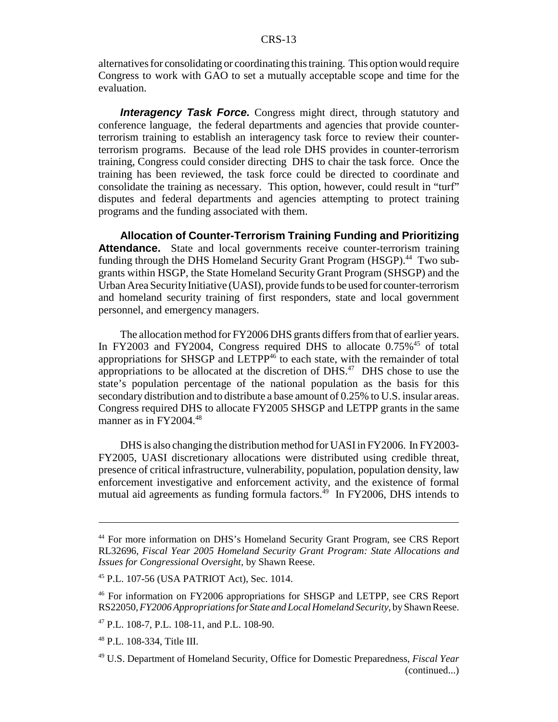alternatives for consolidating or coordinating this training. This option would require Congress to work with GAO to set a mutually acceptable scope and time for the evaluation.

**Interagency Task Force.** Congress might direct, through statutory and conference language, the federal departments and agencies that provide counterterrorism training to establish an interagency task force to review their counterterrorism programs. Because of the lead role DHS provides in counter-terrorism training, Congress could consider directing DHS to chair the task force. Once the training has been reviewed, the task force could be directed to coordinate and consolidate the training as necessary. This option, however, could result in "turf" disputes and federal departments and agencies attempting to protect training programs and the funding associated with them.

**Allocation of Counter-Terrorism Training Funding and Prioritizing** Attendance. State and local governments receive counter-terrorism training funding through the DHS Homeland Security Grant Program (HSGP).<sup>44</sup> Two subgrants within HSGP, the State Homeland Security Grant Program (SHSGP) and the Urban Area Security Initiative (UASI), provide funds to be used for counter-terrorism and homeland security training of first responders, state and local government personnel, and emergency managers.

The allocation method for FY2006 DHS grants differs from that of earlier years. In FY2003 and FY2004, Congress required DHS to allocate 0.75%<sup>45</sup> of total appropriations for SHSGP and LETPP $46$  to each state, with the remainder of total appropriations to be allocated at the discretion of  $DHS$ .<sup>47</sup> DHS chose to use the state's population percentage of the national population as the basis for this secondary distribution and to distribute a base amount of 0.25% to U.S. insular areas. Congress required DHS to allocate FY2005 SHSGP and LETPP grants in the same manner as in  $FY2004.<sup>48</sup>$ 

DHS is also changing the distribution method for UASI in FY2006. In FY2003- FY2005, UASI discretionary allocations were distributed using credible threat, presence of critical infrastructure, vulnerability, population, population density, law enforcement investigative and enforcement activity, and the existence of formal mutual aid agreements as funding formula factors.<sup>49</sup> In FY2006, DHS intends to

<sup>44</sup> For more information on DHS's Homeland Security Grant Program, see CRS Report RL32696, *Fiscal Year 2005 Homeland Security Grant Program: State Allocations and Issues for Congressional Oversight,* by Shawn Reese.

<sup>45</sup> P.L. 107-56 (USA PATRIOT Act), Sec. 1014.

<sup>46</sup> For information on FY2006 appropriations for SHSGP and LETPP, see CRS Report RS22050, *FY2006 Appropriations for State and Local Homeland Security*, by Shawn Reese.

<sup>47</sup> P.L. 108-7, P.L. 108-11, and P.L. 108-90.

<sup>48</sup> P.L. 108-334, Title III.

<sup>49</sup> U.S. Department of Homeland Security, Office for Domestic Preparedness, *Fiscal Year* (continued...)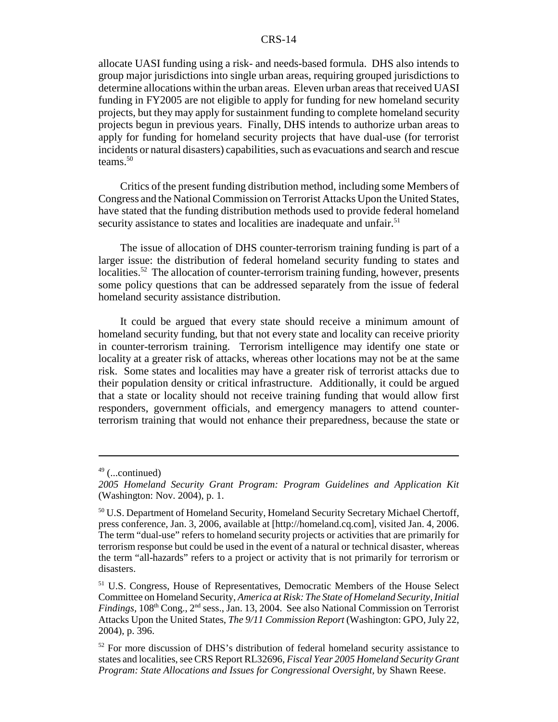#### CRS-14

allocate UASI funding using a risk- and needs-based formula. DHS also intends to group major jurisdictions into single urban areas, requiring grouped jurisdictions to determine allocations within the urban areas. Eleven urban areas that received UASI funding in FY2005 are not eligible to apply for funding for new homeland security projects, but they may apply for sustainment funding to complete homeland security projects begun in previous years. Finally, DHS intends to authorize urban areas to apply for funding for homeland security projects that have dual-use (for terrorist incidents or natural disasters) capabilities, such as evacuations and search and rescue teams. $50$ 

Critics of the present funding distribution method, including some Members of Congress and the National Commission on Terrorist Attacks Upon the United States, have stated that the funding distribution methods used to provide federal homeland security assistance to states and localities are inadequate and unfair.<sup>51</sup>

The issue of allocation of DHS counter-terrorism training funding is part of a larger issue: the distribution of federal homeland security funding to states and localities.<sup>52</sup> The allocation of counter-terrorism training funding, however, presents some policy questions that can be addressed separately from the issue of federal homeland security assistance distribution.

It could be argued that every state should receive a minimum amount of homeland security funding, but that not every state and locality can receive priority in counter-terrorism training. Terrorism intelligence may identify one state or locality at a greater risk of attacks, whereas other locations may not be at the same risk. Some states and localities may have a greater risk of terrorist attacks due to their population density or critical infrastructure. Additionally, it could be argued that a state or locality should not receive training funding that would allow first responders, government officials, and emergency managers to attend counterterrorism training that would not enhance their preparedness, because the state or

 $49$  (...continued)

*<sup>2005</sup> Homeland Security Grant Program: Program Guidelines and Application Kit* (Washington: Nov. 2004), p. 1.

<sup>&</sup>lt;sup>50</sup> U.S. Department of Homeland Security, Homeland Security Secretary Michael Chertoff, press conference, Jan. 3, 2006, available at [http://homeland.cq.com], visited Jan. 4, 2006. The term "dual-use" refers to homeland security projects or activities that are primarily for terrorism response but could be used in the event of a natural or technical disaster, whereas the term "all-hazards" refers to a project or activity that is not primarily for terrorism or disasters.

<sup>51</sup> U.S. Congress, House of Representatives, Democratic Members of the House Select Committee on Homeland Security, *America at Risk: The State of Homeland Security, Initial Findings,* 108<sup>th</sup> Cong., 2<sup>nd</sup> sess., Jan. 13, 2004. See also National Commission on Terrorist Attacks Upon the United States, *The 9/11 Commission Report* (Washington: GPO, July 22, 2004), p. 396.

<sup>&</sup>lt;sup>52</sup> For more discussion of DHS's distribution of federal homeland security assistance to states and localities, see CRS Report RL32696, *Fiscal Year 2005 Homeland Security Grant Program: State Allocations and Issues for Congressional Oversight,* by Shawn Reese.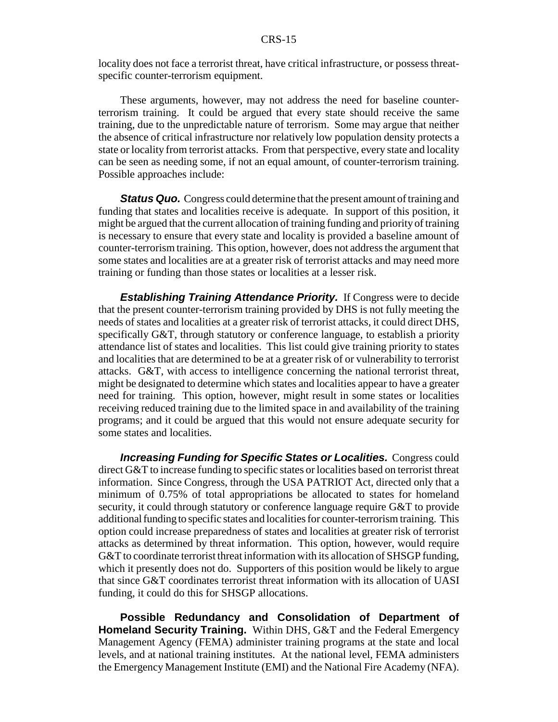locality does not face a terrorist threat, have critical infrastructure, or possess threatspecific counter-terrorism equipment.

These arguments, however, may not address the need for baseline counterterrorism training. It could be argued that every state should receive the same training, due to the unpredictable nature of terrorism. Some may argue that neither the absence of critical infrastructure nor relatively low population density protects a state or locality from terrorist attacks. From that perspective, every state and locality can be seen as needing some, if not an equal amount, of counter-terrorism training. Possible approaches include:

*Status Quo.* Congress could determine that the present amount of training and funding that states and localities receive is adequate. In support of this position, it might be argued that the current allocation of training funding and priority of training is necessary to ensure that every state and locality is provided a baseline amount of counter-terrorism training. This option, however, does not address the argument that some states and localities are at a greater risk of terrorist attacks and may need more training or funding than those states or localities at a lesser risk.

*Establishing Training Attendance Priority.* If Congress were to decide that the present counter-terrorism training provided by DHS is not fully meeting the needs of states and localities at a greater risk of terrorist attacks, it could direct DHS, specifically G&T, through statutory or conference language, to establish a priority attendance list of states and localities. This list could give training priority to states and localities that are determined to be at a greater risk of or vulnerability to terrorist attacks. G&T, with access to intelligence concerning the national terrorist threat, might be designated to determine which states and localities appear to have a greater need for training. This option, however, might result in some states or localities receiving reduced training due to the limited space in and availability of the training programs; and it could be argued that this would not ensure adequate security for some states and localities.

*Increasing Funding for Specific States or Localities.* Congress could direct G&T to increase funding to specific states or localities based on terrorist threat information. Since Congress, through the USA PATRIOT Act, directed only that a minimum of 0.75% of total appropriations be allocated to states for homeland security, it could through statutory or conference language require G&T to provide additional funding to specific states and localities for counter-terrorism training. This option could increase preparedness of states and localities at greater risk of terrorist attacks as determined by threat information. This option, however, would require G&T to coordinate terrorist threat information with its allocation of SHSGP funding, which it presently does not do. Supporters of this position would be likely to argue that since G&T coordinates terrorist threat information with its allocation of UASI funding, it could do this for SHSGP allocations.

**Possible Redundancy and Consolidation of Department of Homeland Security Training.** Within DHS, G&T and the Federal Emergency Management Agency (FEMA) administer training programs at the state and local levels, and at national training institutes. At the national level, FEMA administers the Emergency Management Institute (EMI) and the National Fire Academy (NFA).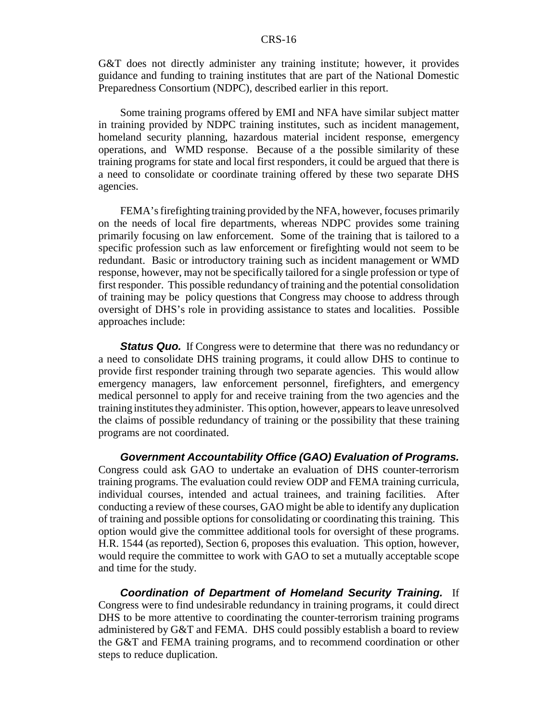G&T does not directly administer any training institute; however, it provides guidance and funding to training institutes that are part of the National Domestic Preparedness Consortium (NDPC), described earlier in this report.

Some training programs offered by EMI and NFA have similar subject matter in training provided by NDPC training institutes, such as incident management, homeland security planning, hazardous material incident response, emergency operations, and WMD response. Because of a the possible similarity of these training programs for state and local first responders, it could be argued that there is a need to consolidate or coordinate training offered by these two separate DHS agencies.

FEMA's firefighting training provided by the NFA, however, focuses primarily on the needs of local fire departments, whereas NDPC provides some training primarily focusing on law enforcement. Some of the training that is tailored to a specific profession such as law enforcement or firefighting would not seem to be redundant. Basic or introductory training such as incident management or WMD response, however, may not be specifically tailored for a single profession or type of first responder. This possible redundancy of training and the potential consolidation of training may be policy questions that Congress may choose to address through oversight of DHS's role in providing assistance to states and localities. Possible approaches include:

*Status Quo.* If Congress were to determine that there was no redundancy or a need to consolidate DHS training programs, it could allow DHS to continue to provide first responder training through two separate agencies. This would allow emergency managers, law enforcement personnel, firefighters, and emergency medical personnel to apply for and receive training from the two agencies and the training institutes they administer. This option, however, appears to leave unresolved the claims of possible redundancy of training or the possibility that these training programs are not coordinated.

*Government Accountability Office (GAO) Evaluation of Programs.* Congress could ask GAO to undertake an evaluation of DHS counter-terrorism training programs. The evaluation could review ODP and FEMA training curricula, individual courses, intended and actual trainees, and training facilities. After conducting a review of these courses, GAO might be able to identify any duplication of training and possible options for consolidating or coordinating this training. This option would give the committee additional tools for oversight of these programs. H.R. 1544 (as reported), Section 6, proposes this evaluation. This option, however, would require the committee to work with GAO to set a mutually acceptable scope and time for the study.

*Coordination of Department of Homeland Security Training.* If Congress were to find undesirable redundancy in training programs, it could direct DHS to be more attentive to coordinating the counter-terrorism training programs administered by G&T and FEMA. DHS could possibly establish a board to review the G&T and FEMA training programs, and to recommend coordination or other steps to reduce duplication.